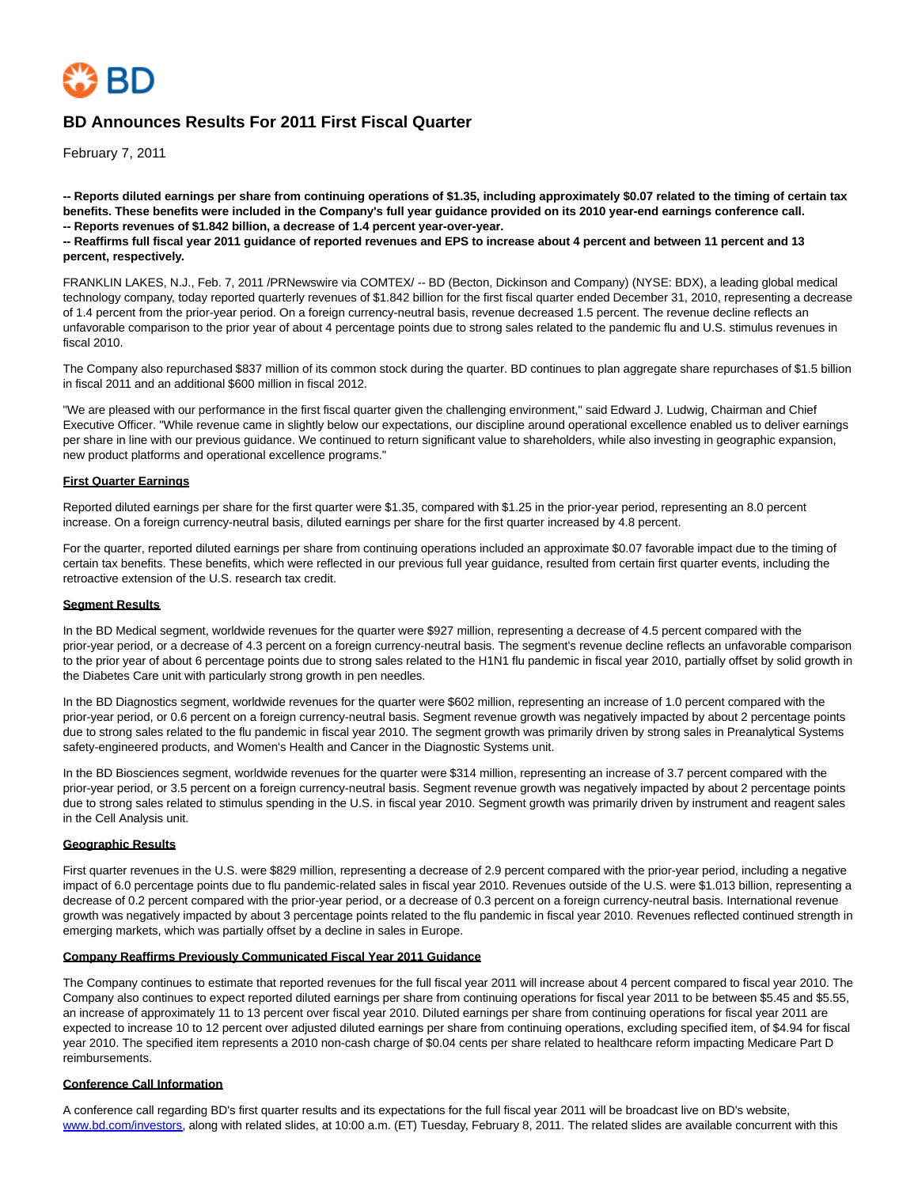

# **BD Announces Results For 2011 First Fiscal Quarter**

February 7, 2011

**-- Reports diluted earnings per share from continuing operations of \$1.35, including approximately \$0.07 related to the timing of certain tax benefits. These benefits were included in the Company's full year guidance provided on its 2010 year-end earnings conference call. -- Reports revenues of \$1.842 billion, a decrease of 1.4 percent year-over-year.**

**-- Reaffirms full fiscal year 2011 guidance of reported revenues and EPS to increase about 4 percent and between 11 percent and 13 percent, respectively.**

FRANKLIN LAKES, N.J., Feb. 7, 2011 /PRNewswire via COMTEX/ -- BD (Becton, Dickinson and Company) (NYSE: BDX), a leading global medical technology company, today reported quarterly revenues of \$1.842 billion for the first fiscal quarter ended December 31, 2010, representing a decrease of 1.4 percent from the prior-year period. On a foreign currency-neutral basis, revenue decreased 1.5 percent. The revenue decline reflects an unfavorable comparison to the prior year of about 4 percentage points due to strong sales related to the pandemic flu and U.S. stimulus revenues in fiscal 2010.

The Company also repurchased \$837 million of its common stock during the quarter. BD continues to plan aggregate share repurchases of \$1.5 billion in fiscal 2011 and an additional \$600 million in fiscal 2012.

"We are pleased with our performance in the first fiscal quarter given the challenging environment," said Edward J. Ludwig, Chairman and Chief Executive Officer. "While revenue came in slightly below our expectations, our discipline around operational excellence enabled us to deliver earnings per share in line with our previous guidance. We continued to return significant value to shareholders, while also investing in geographic expansion, new product platforms and operational excellence programs."

### **First Quarter Earnings**

Reported diluted earnings per share for the first quarter were \$1.35, compared with \$1.25 in the prior-year period, representing an 8.0 percent increase. On a foreign currency-neutral basis, diluted earnings per share for the first quarter increased by 4.8 percent.

For the quarter, reported diluted earnings per share from continuing operations included an approximate \$0.07 favorable impact due to the timing of certain tax benefits. These benefits, which were reflected in our previous full year guidance, resulted from certain first quarter events, including the retroactive extension of the U.S. research tax credit.

#### **Segment Results**

In the BD Medical segment, worldwide revenues for the quarter were \$927 million, representing a decrease of 4.5 percent compared with the prior-year period, or a decrease of 4.3 percent on a foreign currency-neutral basis. The segment's revenue decline reflects an unfavorable comparison to the prior year of about 6 percentage points due to strong sales related to the H1N1 flu pandemic in fiscal year 2010, partially offset by solid growth in the Diabetes Care unit with particularly strong growth in pen needles.

In the BD Diagnostics segment, worldwide revenues for the quarter were \$602 million, representing an increase of 1.0 percent compared with the prior-year period, or 0.6 percent on a foreign currency-neutral basis. Segment revenue growth was negatively impacted by about 2 percentage points due to strong sales related to the flu pandemic in fiscal year 2010. The segment growth was primarily driven by strong sales in Preanalytical Systems safety-engineered products, and Women's Health and Cancer in the Diagnostic Systems unit.

In the BD Biosciences segment, worldwide revenues for the quarter were \$314 million, representing an increase of 3.7 percent compared with the prior-year period, or 3.5 percent on a foreign currency-neutral basis. Segment revenue growth was negatively impacted by about 2 percentage points due to strong sales related to stimulus spending in the U.S. in fiscal year 2010. Segment growth was primarily driven by instrument and reagent sales in the Cell Analysis unit.

#### **Geographic Results**

First quarter revenues in the U.S. were \$829 million, representing a decrease of 2.9 percent compared with the prior-year period, including a negative impact of 6.0 percentage points due to flu pandemic-related sales in fiscal year 2010. Revenues outside of the U.S. were \$1.013 billion, representing a decrease of 0.2 percent compared with the prior-year period, or a decrease of 0.3 percent on a foreign currency-neutral basis. International revenue growth was negatively impacted by about 3 percentage points related to the flu pandemic in fiscal year 2010. Revenues reflected continued strength in emerging markets, which was partially offset by a decline in sales in Europe.

#### **Company Reaffirms Previously Communicated Fiscal Year 2011 Guidance**

The Company continues to estimate that reported revenues for the full fiscal year 2011 will increase about 4 percent compared to fiscal year 2010. The Company also continues to expect reported diluted earnings per share from continuing operations for fiscal year 2011 to be between \$5.45 and \$5.55, an increase of approximately 11 to 13 percent over fiscal year 2010. Diluted earnings per share from continuing operations for fiscal year 2011 are expected to increase 10 to 12 percent over adjusted diluted earnings per share from continuing operations, excluding specified item, of \$4.94 for fiscal year 2010. The specified item represents a 2010 non-cash charge of \$0.04 cents per share related to healthcare reform impacting Medicare Part D reimbursements.

### **Conference Call Information**

A conference call regarding BD's first quarter results and its expectations for the full fiscal year 2011 will be broadcast live on BD's website, [www.bd.com/investors,](http://www.bd.com/investors) along with related slides, at 10:00 a.m. (ET) Tuesday, February 8, 2011. The related slides are available concurrent with this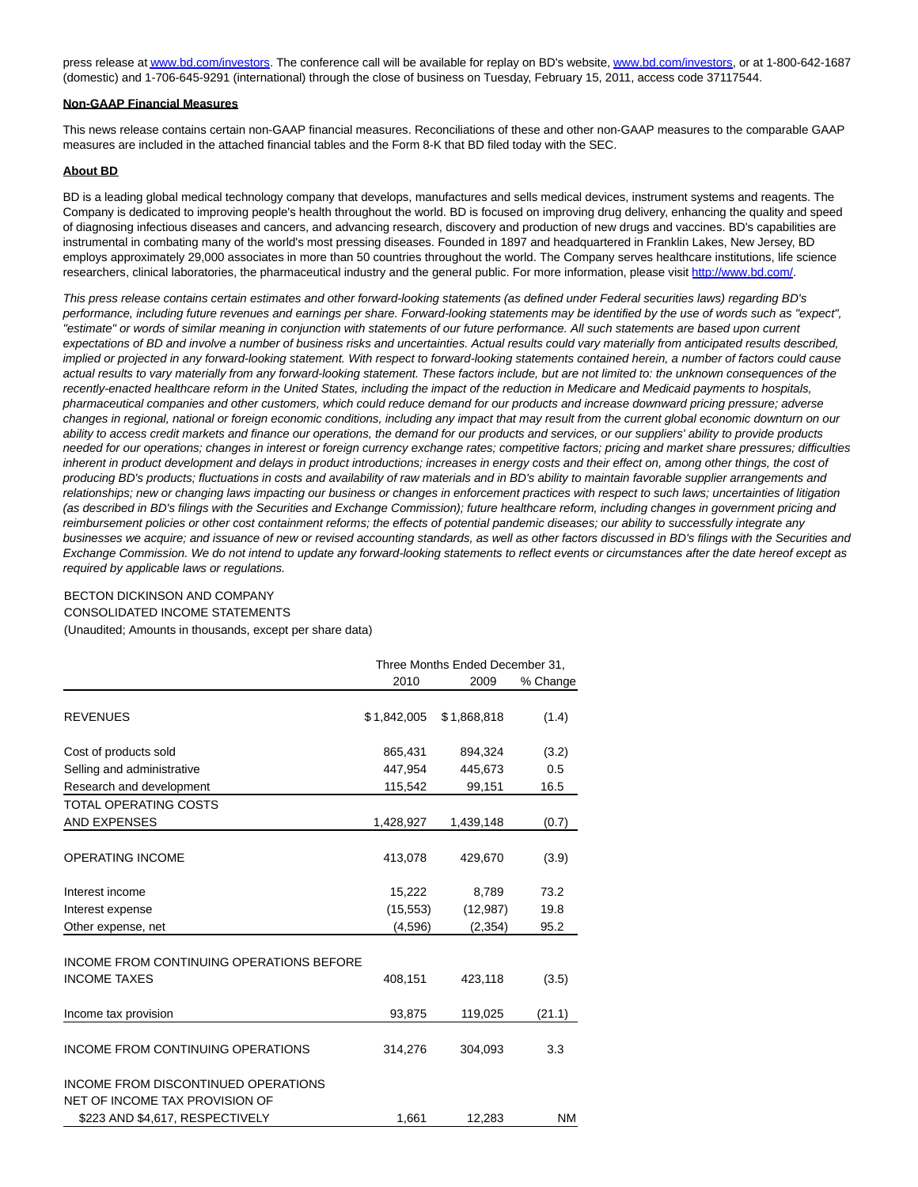press release a[t www.bd.com/investors.](http://www.bd.com/investors) The conference call will be available for replay on BD's website[, www.bd.com/investors,](http://www.bd.com/investors) or at 1-800-642-1687 (domestic) and 1-706-645-9291 (international) through the close of business on Tuesday, February 15, 2011, access code 37117544.

#### **Non-GAAP Financial Measures**

This news release contains certain non-GAAP financial measures. Reconciliations of these and other non-GAAP measures to the comparable GAAP measures are included in the attached financial tables and the Form 8-K that BD filed today with the SEC.

### **About BD**

BD is a leading global medical technology company that develops, manufactures and sells medical devices, instrument systems and reagents. The Company is dedicated to improving people's health throughout the world. BD is focused on improving drug delivery, enhancing the quality and speed of diagnosing infectious diseases and cancers, and advancing research, discovery and production of new drugs and vaccines. BD's capabilities are instrumental in combating many of the world's most pressing diseases. Founded in 1897 and headquartered in Franklin Lakes, New Jersey, BD employs approximately 29,000 associates in more than 50 countries throughout the world. The Company serves healthcare institutions, life science researchers, clinical laboratories, the pharmaceutical industry and the general public. For more information, please visit [http://www.bd.com/.](http://www.bd.com/)

This press release contains certain estimates and other forward-looking statements (as defined under Federal securities laws) regarding BD's performance, including future revenues and earnings per share. Forward-looking statements may be identified by the use of words such as "expect", "estimate" or words of similar meaning in conjunction with statements of our future performance. All such statements are based upon current expectations of BD and involve a number of business risks and uncertainties. Actual results could vary materially from anticipated results described, implied or projected in any forward-looking statement. With respect to forward-looking statements contained herein, a number of factors could cause actual results to vary materially from any forward-looking statement. These factors include, but are not limited to: the unknown consequences of the recently-enacted healthcare reform in the United States, including the impact of the reduction in Medicare and Medicaid payments to hospitals, pharmaceutical companies and other customers, which could reduce demand for our products and increase downward pricing pressure; adverse changes in regional, national or foreign economic conditions, including any impact that may result from the current global economic downturn on our ability to access credit markets and finance our operations, the demand for our products and services, or our suppliers' ability to provide products needed for our operations; changes in interest or foreign currency exchange rates; competitive factors; pricing and market share pressures; difficulties inherent in product development and delays in product introductions; increases in energy costs and their effect on, among other things, the cost of producing BD's products; fluctuations in costs and availability of raw materials and in BD's ability to maintain favorable supplier arrangements and relationships; new or changing laws impacting our business or changes in enforcement practices with respect to such laws; uncertainties of litigation (as described in BD's filings with the Securities and Exchange Commission); future healthcare reform, including changes in government pricing and reimbursement policies or other cost containment reforms; the effects of potential pandemic diseases; our ability to successfully integrate any businesses we acquire; and issuance of new or revised accounting standards, as well as other factors discussed in BD's filings with the Securities and Exchange Commission. We do not intend to update any forward-looking statements to reflect events or circumstances after the date hereof except as required by applicable laws or regulations.

## BECTON DICKINSON AND COMPANY

CONSOLIDATED INCOME STATEMENTS

(Unaudited; Amounts in thousands, except per share data)

|                                                                        | Three Months Ended December 31, |             |           |  |
|------------------------------------------------------------------------|---------------------------------|-------------|-----------|--|
|                                                                        | 2010                            | 2009        | % Change  |  |
| <b>REVENUES</b>                                                        | \$1,842,005                     | \$1,868,818 | (1.4)     |  |
| Cost of products sold                                                  | 865,431                         | 894,324     | (3.2)     |  |
| Selling and administrative                                             | 447,954                         | 445,673     | 0.5       |  |
| Research and development                                               | 115,542                         | 99,151      | 16.5      |  |
| <b>TOTAL OPERATING COSTS</b>                                           |                                 |             |           |  |
| <b>AND EXPENSES</b>                                                    | 1,428,927                       | 1,439,148   | (0.7)     |  |
| <b>OPERATING INCOME</b>                                                | 413,078                         | 429,670     | (3.9)     |  |
| Interest income                                                        | 15,222                          | 8,789       | 73.2      |  |
| Interest expense                                                       | (15, 553)                       | (12, 987)   | 19.8      |  |
| Other expense, net                                                     | (4,596)                         | (2, 354)    | 95.2      |  |
| <b>INCOME FROM CONTINUING OPERATIONS BEFORE</b><br><b>INCOME TAXES</b> | 408,151                         | 423,118     | (3.5)     |  |
| Income tax provision                                                   | 93,875                          | 119,025     | (21.1)    |  |
| <b>INCOME FROM CONTINUING OPERATIONS</b>                               | 314,276                         | 304,093     | 3.3       |  |
| INCOME FROM DISCONTINUED OPERATIONS                                    |                                 |             |           |  |
|                                                                        |                                 |             | <b>NM</b> |  |
| NET OF INCOME TAX PROVISION OF<br>\$223 AND \$4,617, RESPECTIVELY      | 1,661                           | 12,283      |           |  |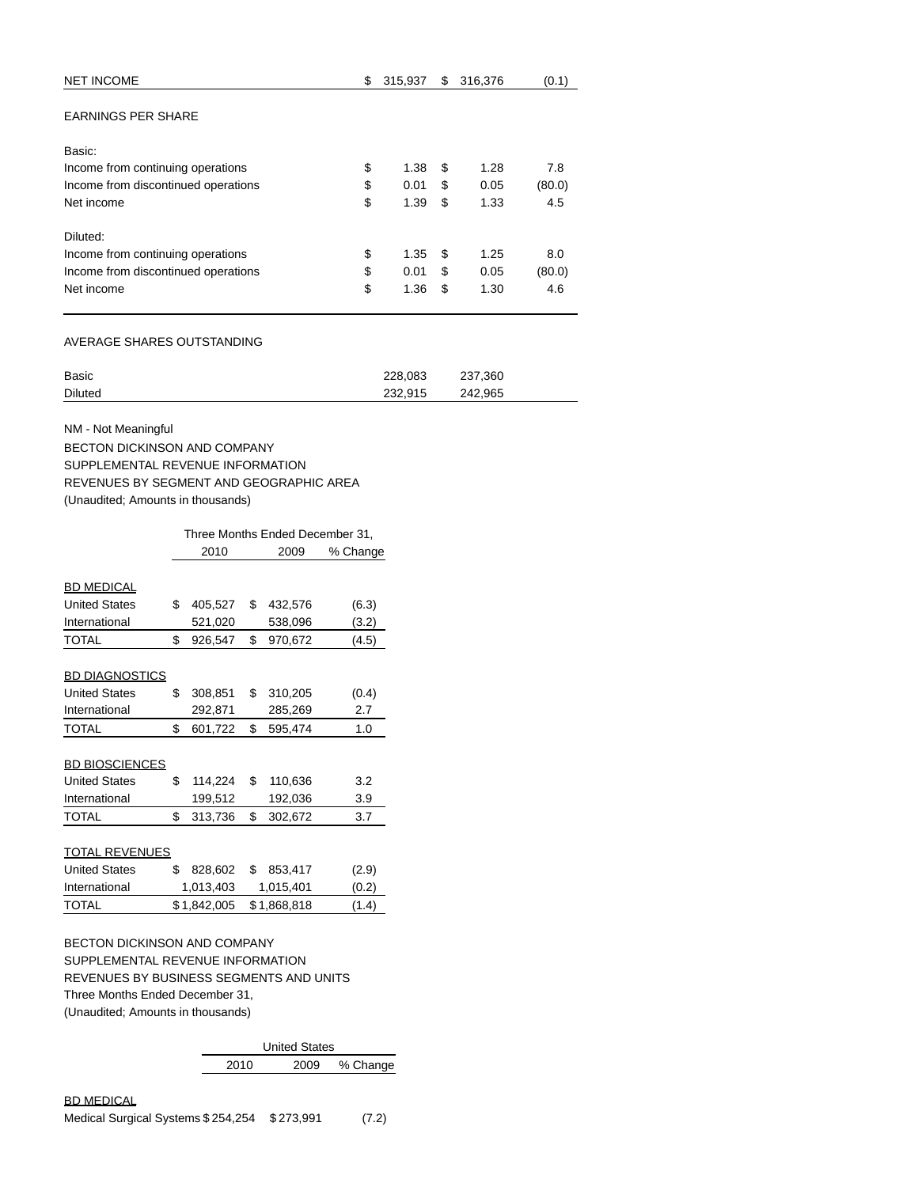| \$<br><b>NET INCOME</b>                   | 315,937 | \$ | 316,376 | (0.1)  |
|-------------------------------------------|---------|----|---------|--------|
| <b>EARNINGS PER SHARE</b>                 |         |    |         |        |
| Basic:                                    |         |    |         |        |
| \$<br>Income from continuing operations   | 1.38    | \$ | 1.28    | 7.8    |
| \$<br>Income from discontinued operations | 0.01    | S  | 0.05    | (80.0) |
| \$<br>Net income                          | 1.39    | \$ | 1.33    | 4.5    |
| Diluted:                                  |         |    |         |        |
| \$<br>Income from continuing operations   | 1.35    | S  | 1.25    | 8.0    |
| \$<br>Income from discontinued operations | 0.01    | \$ | 0.05    | (80.0) |
| \$<br>Net income                          | 1.36    | \$ | 1.30    | 4.6    |

# AVERAGE SHARES OUTSTANDING

| Basic          | 228.083 | 237,360 |
|----------------|---------|---------|
| <b>Diluted</b> | 232.915 | 242.965 |

NM - Not Meaningful

BECTON DICKINSON AND COMPANY SUPPLEMENTAL REVENUE INFORMATION REVENUES BY SEGMENT AND GEOGRAPHIC AREA (Unaudited; Amounts in thousands)

|                                         | Three Months Ended December 31, |             |    |             |          |  |
|-----------------------------------------|---------------------------------|-------------|----|-------------|----------|--|
|                                         |                                 | 2010        |    | 2009        | % Change |  |
|                                         |                                 |             |    |             |          |  |
| <b>BD MEDICAL</b>                       |                                 |             |    |             |          |  |
| <b>United States</b>                    | \$                              | 405,527     | \$ | 432,576     | (6.3)    |  |
| International                           |                                 | 521,020     |    | 538,096     | (3.2)    |  |
| <b>TOTAL</b>                            | \$                              | 926,547     | \$ | 970,672     | (4.5)    |  |
|                                         |                                 |             |    |             |          |  |
| <b>BD DIAGNOSTICS</b>                   |                                 |             |    |             |          |  |
| <b>United States</b>                    | \$                              | 308,851     | \$ | 310,205     | (0.4)    |  |
| International                           |                                 | 292,871     |    | 285,269     | 2.7      |  |
| <b>TOTAL</b>                            | \$                              | 601,722     | \$ | 595,474     | 1.0      |  |
|                                         |                                 |             |    |             |          |  |
| <b>BD BIOSCIENCES</b>                   |                                 |             |    |             |          |  |
| <b>United States</b>                    | \$                              | 114,224     | \$ | 110,636     | 3.2      |  |
| International                           |                                 | 199,512     |    | 192,036     | 3.9      |  |
| <b>TOTAL</b>                            | \$                              | 313,736     | \$ | 302,672     | 3.7      |  |
|                                         |                                 |             |    |             |          |  |
| <b>TOTAL REVENUES</b>                   |                                 |             |    |             |          |  |
| <b>United States</b>                    | \$                              | 828,602     | \$ | 853,417     | (2.9)    |  |
| International                           |                                 | 1,013,403   |    | 1,015,401   | (0.2)    |  |
| <b>TOTAL</b>                            |                                 | \$1,842,005 |    | \$1,868,818 | (1.4)    |  |
|                                         |                                 |             |    |             |          |  |
| <b>BECTON DICKINSON AND COMPANY</b>     |                                 |             |    |             |          |  |
| SUPPLEMENTAL REVENUE INFORMATION        |                                 |             |    |             |          |  |
| REVENUES BY BUSINESS SEGMENTS AND UNITS |                                 |             |    |             |          |  |
| Three Months Ended December 31.         |                                 |             |    |             |          |  |
|                                         |                                 |             |    |             |          |  |

(Unaudited; Amounts in thousands)

| <b>United States</b> |      |      |          |  |  |
|----------------------|------|------|----------|--|--|
|                      | 2010 | 2009 | % Change |  |  |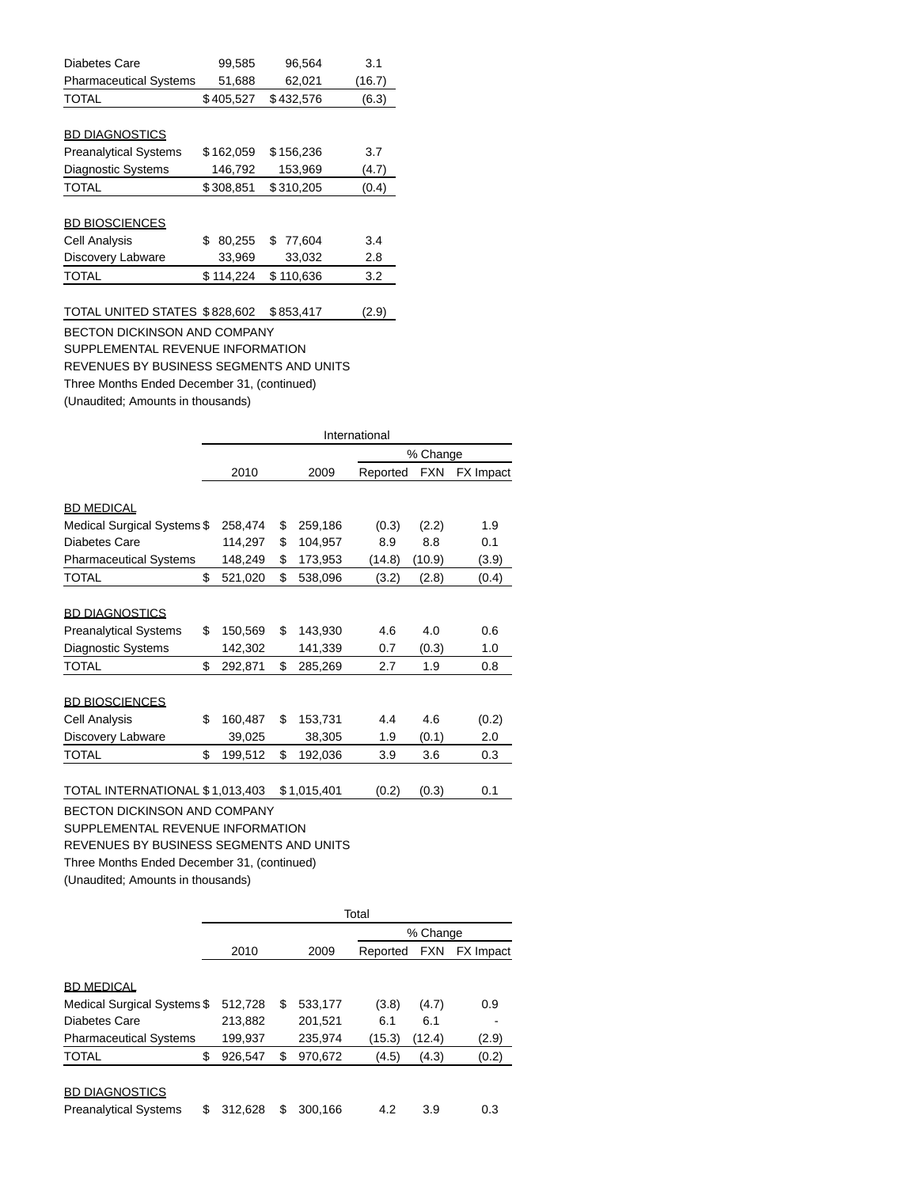| Diabetes Care                 | 99,585       | 96,564      | 3.1    |
|-------------------------------|--------------|-------------|--------|
| <b>Pharmaceutical Systems</b> | 51,688       | 62,021      | (16.7) |
| <b>TOTAL</b>                  | \$405,527    | \$432.576   | (6.3)  |
|                               |              |             |        |
| <b>BD DIAGNOSTICS</b>         |              |             |        |
| <b>Preanalytical Systems</b>  | \$162,059    | \$156,236   | 3.7    |
| Diagnostic Systems            | 146.792      | 153,969     | (4.7)  |
| <b>TOTAL</b>                  | \$308,851    | \$310,205   | (0.4)  |
|                               |              |             |        |
| <b>BD BIOSCIENCES</b>         |              |             |        |
| Cell Analysis                 | \$<br>80,255 | 77.604<br>S | 3.4    |
| Discovery Labware             | 33,969       | 33,032      | 2.8    |
| <b>TOTAL</b>                  | \$114.224    | \$110.636   | 3.2    |
|                               |              |             |        |

|  | (2.9) |
|--|-------|
|  |       |

BECTON DICKINSON AND COMPANY SUPPLEMENTAL REVENUE INFORMATION REVENUES BY BUSINESS SEGMENTS AND UNITS Three Months Ended December 31, (continued) (Unaudited; Amounts in thousands)

|                                             |       | International |    |             |          |            |           |  |
|---------------------------------------------|-------|---------------|----|-------------|----------|------------|-----------|--|
|                                             |       |               |    |             |          | % Change   |           |  |
|                                             |       | 2010          |    | 2009        | Reported | <b>FXN</b> | FX Impact |  |
|                                             |       |               |    |             |          |            |           |  |
| <b>BD MEDICAL</b>                           |       |               |    |             |          |            |           |  |
| Medical Surgical Systems \$                 |       | 258,474       | \$ | 259,186     | (0.3)    | (2.2)      | 1.9       |  |
| Diabetes Care                               |       | 114,297       | \$ | 104,957     | 8.9      | 8.8        | 0.1       |  |
| <b>Pharmaceutical Systems</b>               |       | 148,249       | \$ | 173,953     | (14.8)   | (10.9)     | (3.9)     |  |
| TOTAL                                       | \$    | 521,020       | \$ | 538,096     | (3.2)    | (2.8)      | (0.4)     |  |
| <b>BD DIAGNOSTICS</b>                       |       |               |    |             |          |            |           |  |
| <b>Preanalytical Systems</b>                | \$    | 150,569       | \$ | 143,930     | 4.6      | 4.0        | 0.6       |  |
| <b>Diagnostic Systems</b>                   |       | 142,302       |    | 141,339     | 0.7      | (0.3)      | 1.0       |  |
| TOTAL                                       | \$    | 292,871       | \$ | 285,269     | 2.7      | 1.9        | 0.8       |  |
|                                             |       |               |    |             |          |            |           |  |
| <b>BD BIOSCIENCES</b>                       |       |               |    |             |          |            |           |  |
| <b>Cell Analysis</b>                        | \$    | 160,487       | \$ | 153,731     | 4.4      | 4.6        | (0.2)     |  |
| Discovery Labware                           |       | 39,025        |    | 38,305      | 1.9      | (0.1)      | 2.0       |  |
| <b>TOTAL</b>                                | \$    | 199,512       | \$ | 192,036     | 3.9      | 3.6        | 0.3       |  |
| TOTAL INTERNATIONAL \$1,013,403             |       |               |    | \$1,015,401 | (0.2)    | (0.3)      | 0.1       |  |
|                                             |       |               |    |             |          |            |           |  |
| <b>BECTON DICKINSON AND COMPANY</b>         |       |               |    |             |          |            |           |  |
| SUPPLEMENTAL REVENUE INFORMATION            |       |               |    |             |          |            |           |  |
| REVENUES BY BUSINESS SEGMENTS AND UNITS     |       |               |    |             |          |            |           |  |
| Three Months Ended December 31, (continued) |       |               |    |             |          |            |           |  |
| (Unaudited; Amounts in thousands)           |       |               |    |             |          |            |           |  |
|                                             |       |               |    |             |          |            |           |  |
|                                             | Total |               |    |             |          |            |           |  |

|   |                             |    |         | % Change |            |                  |  |
|---|-----------------------------|----|---------|----------|------------|------------------|--|
|   | 2010                        |    | 2009    |          | <b>FXN</b> | <b>FX</b> Impact |  |
|   |                             |    |         |          |            |                  |  |
|   | 512,728                     | \$ | 533,177 | (3.8)    | (4.7)      | 0.9              |  |
|   | 213,882                     |    | 201,521 | 6.1      | 6.1        |                  |  |
|   | 199,937                     |    | 235,974 | (15.3)   | (12.4)     | (2.9)            |  |
| S | 926,547                     | \$ | 970,672 | (4.5)    | (4.3)      | (0.2)            |  |
|   | 312.628                     | S  | 300.166 | 4.2      | 3.9        | 0.3              |  |
|   | Medical Surgical Systems \$ |    |         |          |            | Reported         |  |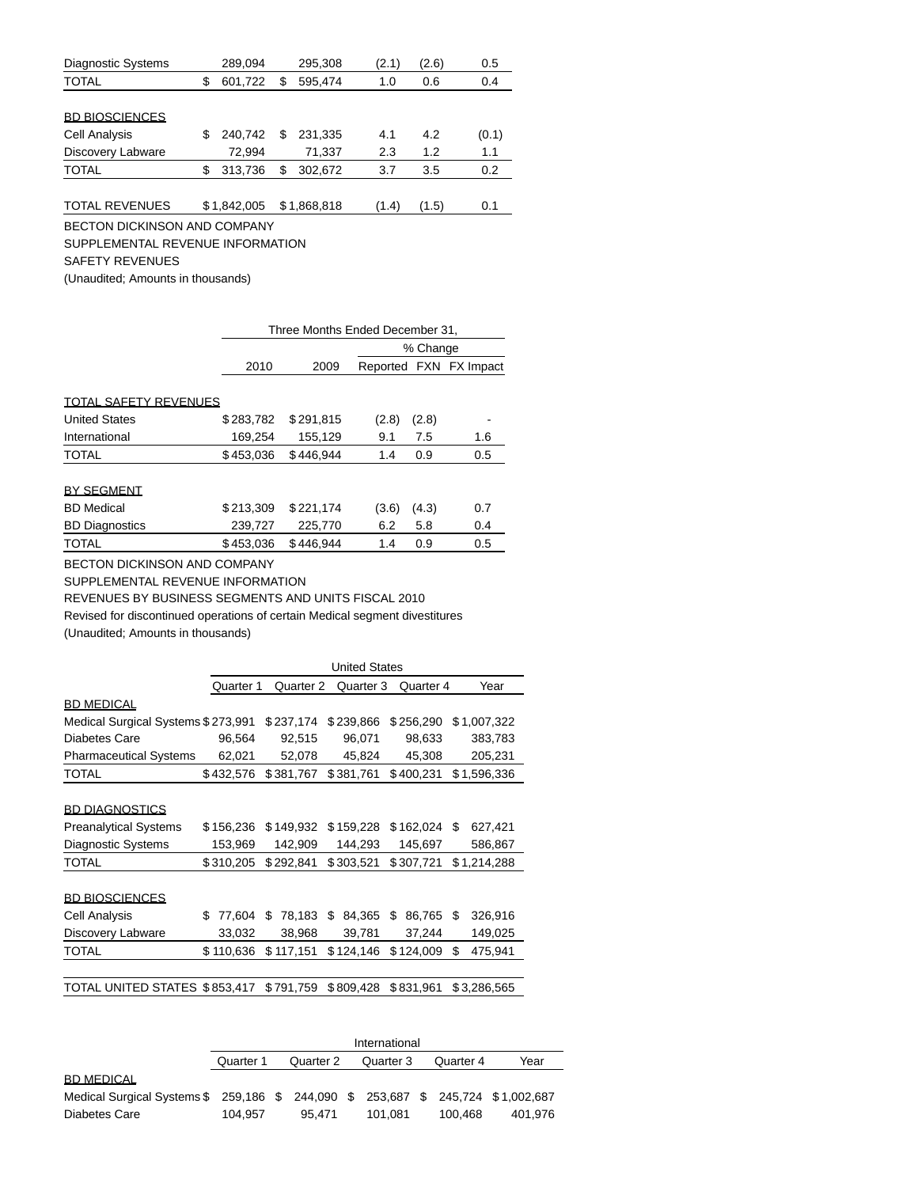| <b>Diagnostic Systems</b> |    | 289,094     |    | 295,308     | (2.1) | (2.6) | 0.5   |
|---------------------------|----|-------------|----|-------------|-------|-------|-------|
| <b>TOTAL</b>              | \$ | 601,722     | S  | 595,474     | 1.0   | 0.6   | 0.4   |
|                           |    |             |    |             |       |       |       |
| <b>BD BIOSCIENCES</b>     |    |             |    |             |       |       |       |
| <b>Cell Analysis</b>      | S  | 240.742     | \$ | 231.335     | 4.1   | 4.2   | (0.1) |
| Discovery Labware         |    | 72.994      |    | 71.337      | 2.3   | 1.2   | 1.1   |
| <b>TOTAL</b>              | S  | 313.736     | \$ | 302.672     | 3.7   | 3.5   | 0.2   |
|                           |    |             |    |             |       |       |       |
| <b>TOTAL REVENUES</b>     |    | \$1,842,005 |    | \$1,868,818 | (1.4) | (1.5) | 0.1   |

BECTON DICKINSON AND COMPANY

SUPPLEMENTAL REVENUE INFORMATION

SAFETY REVENUES

(Unaudited; Amounts in thousands)

|                              |           | Three Months Ended December 31, |       |          |                        |  |  |
|------------------------------|-----------|---------------------------------|-------|----------|------------------------|--|--|
|                              |           |                                 |       | % Change |                        |  |  |
|                              | 2010      | 2009                            |       |          | Reported FXN FX Impact |  |  |
|                              |           |                                 |       |          |                        |  |  |
| <b>TOTAL SAFETY REVENUES</b> |           |                                 |       |          |                        |  |  |
| <b>United States</b>         | \$283,782 | \$291.815                       | (2.8) | (2.8)    |                        |  |  |
| International                | 169,254   | 155,129                         | 9.1   | 7.5      | 1.6                    |  |  |
| <b>TOTAL</b>                 | \$453,036 | \$446.944                       | 1.4   | 0.9      | 0.5                    |  |  |
|                              |           |                                 |       |          |                        |  |  |
| <b>BY SEGMENT</b>            |           |                                 |       |          |                        |  |  |
| <b>BD</b> Medical            | \$213.309 | \$221.174                       | (3.6) | (4.3)    | 0.7                    |  |  |
| <b>BD Diagnostics</b>        | 239,727   | 225,770                         | 6.2   | 5.8      | 0.4                    |  |  |
| <b>TOTAL</b>                 | \$453.036 | \$446.944                       | 1.4   | 0.9      | 0.5                    |  |  |

BECTON DICKINSON AND COMPANY

SUPPLEMENTAL REVENUE INFORMATION

REVENUES BY BUSINESS SEGMENTS AND UNITS FISCAL 2010

Revised for discontinued operations of certain Medical segment divestitures (Unaudited; Amounts in thousands)

|                                    |             | <b>United States</b> |              |              |               |  |  |  |
|------------------------------------|-------------|----------------------|--------------|--------------|---------------|--|--|--|
|                                    | Quarter 1   | Quarter 2            | Quarter 3    | Quarter 4    | Year          |  |  |  |
| <b>BD MEDICAL</b>                  |             |                      |              |              |               |  |  |  |
| Medical Surgical Systems \$273,991 |             | \$237,174            | \$239,866    | \$256,290    | \$1,007,322   |  |  |  |
| Diabetes Care                      | 96,564      | 92,515               | 96,071       | 98,633       | 383,783       |  |  |  |
| <b>Pharmaceutical Systems</b>      | 62,021      | 52,078               | 45,824       | 45,308       | 205,231       |  |  |  |
| <b>TOTAL</b>                       | \$432,576   | \$381,767            | \$381,761    | \$400,231    | \$1,596,336   |  |  |  |
|                                    |             |                      |              |              |               |  |  |  |
| <b>BD DIAGNOSTICS</b>              |             |                      |              |              |               |  |  |  |
| <b>Preanalytical Systems</b>       | \$156,236   | \$149,932            | \$159,228    | \$162,024    | S<br>627,421  |  |  |  |
| <b>Diagnostic Systems</b>          | 153,969     | 142,909              | 144,293      | 145,697      | 586,867       |  |  |  |
| <b>TOTAL</b>                       | \$310,205   | \$292,841            | \$303,521    | \$307,721    | \$1,214,288   |  |  |  |
|                                    |             |                      |              |              |               |  |  |  |
| <b>BD BIOSCIENCES</b>              |             |                      |              |              |               |  |  |  |
| Cell Analysis                      | S<br>77,604 | S<br>78,183          | \$<br>84,365 | \$<br>86,765 | \$<br>326,916 |  |  |  |
| Discovery Labware                  | 33,032      | 38,968               | 39,781       | 37,244       | 149,025       |  |  |  |
| <b>TOTAL</b>                       | \$110,636   | \$117,151            | \$124,146    | \$124,009    | 475,941<br>\$ |  |  |  |
|                                    |             |                      |              |              |               |  |  |  |
| TOTAL UNITED STATES \$853,417      |             | \$791,759            | \$809,428    | \$831,961    | \$3,286,565   |  |  |  |

|                                                                                  | International |  |           |  |           |  |           |         |  |  |
|----------------------------------------------------------------------------------|---------------|--|-----------|--|-----------|--|-----------|---------|--|--|
|                                                                                  | Quarter 1     |  | Quarter 2 |  | Quarter 3 |  | Quarter 4 | Year    |  |  |
| <b>BD MEDICAL</b>                                                                |               |  |           |  |           |  |           |         |  |  |
| Medical Surgical Systems \$ 259,186 \$ 244,090 \$ 253,687 \$ 245,724 \$1,002,687 |               |  |           |  |           |  |           |         |  |  |
| Diabetes Care                                                                    | 104.957       |  | 95.471    |  | 101.081   |  | 100.468   | 401.976 |  |  |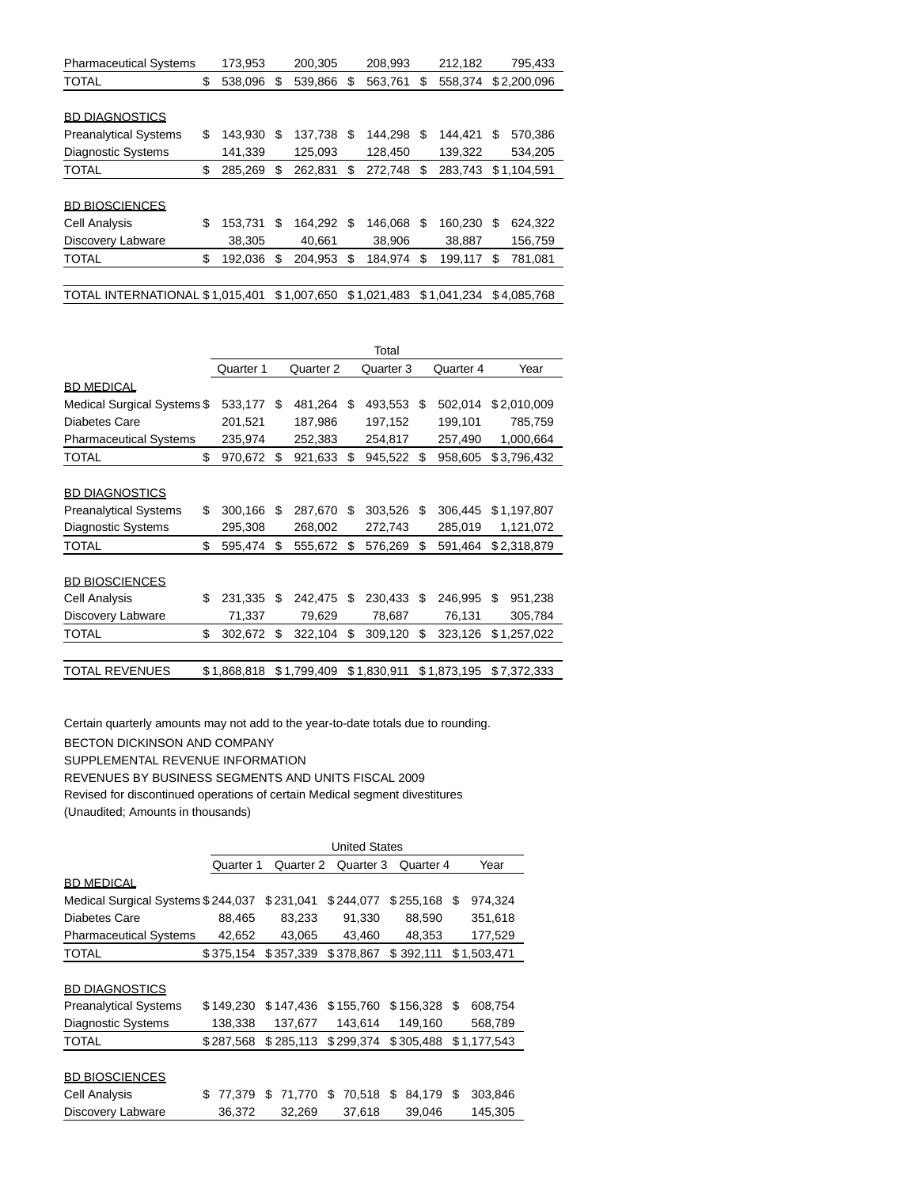| <b>Pharmaceutical Systems</b>   | 173,953       |    | 200,305     |   | 208,993     |    | 212,182     |   | 795,433     |
|---------------------------------|---------------|----|-------------|---|-------------|----|-------------|---|-------------|
| <b>TOTAL</b>                    | \$<br>538.096 | \$ | 539,866     | S | 563,761     | S  | 558.374     |   | \$2,200,096 |
|                                 |               |    |             |   |             |    |             |   |             |
| <b>BD DIAGNOSTICS</b>           |               |    |             |   |             |    |             |   |             |
| <b>Preanalytical Systems</b>    | \$<br>143.930 | S  | 137,738     | S | 144.298     | \$ | 144.421     | S | 570,386     |
| <b>Diagnostic Systems</b>       | 141,339       |    | 125,093     |   | 128,450     |    | 139,322     |   | 534,205     |
| <b>TOTAL</b>                    | \$<br>285,269 | \$ | 262,831     | S | 272,748     | S  | 283,743     |   | \$1,104,591 |
|                                 |               |    |             |   |             |    |             |   |             |
| <b>BD BIOSCIENCES</b>           |               |    |             |   |             |    |             |   |             |
| Cell Analysis                   | \$<br>153,731 | \$ | 164.292     | S | 146.068     | S  | 160,230     | S | 624,322     |
| Discovery Labware               | 38,305        |    | 40,661      |   | 38,906      |    | 38,887      |   | 156,759     |
| <b>TOTAL</b>                    | \$<br>192,036 | S  | 204.953     | S | 184,974     | S  | 199,117     | S | 781,081     |
|                                 |               |    |             |   |             |    |             |   |             |
| TOTAL INTERNATIONAL \$1.015.401 |               |    | \$1.007.650 |   | \$1.021.483 |    | \$1.041.234 |   | \$4.085.768 |

|                               | Total         |    |             |    |             |     |             |               |  |  |
|-------------------------------|---------------|----|-------------|----|-------------|-----|-------------|---------------|--|--|
|                               | Quarter 1     |    | Quarter 2   |    | Quarter 3   |     | Quarter 4   | Year          |  |  |
| <b>BD MEDICAL</b>             |               |    |             |    |             |     |             |               |  |  |
| Medical Surgical Systems \$   | 533,177       | \$ | 481,264     | \$ | 493,553     | \$. | 502,014     | \$2,010,009   |  |  |
| Diabetes Care                 | 201,521       |    | 187,986     |    | 197,152     |     | 199,101     | 785,759       |  |  |
| <b>Pharmaceutical Systems</b> | 235,974       |    | 252,383     |    | 254,817     |     | 257,490     | 1,000,664     |  |  |
| TOTAL                         | \$<br>970,672 | \$ | 921,633     | \$ | 945,522     | \$  | 958,605     | \$3,796,432   |  |  |
|                               |               |    |             |    |             |     |             |               |  |  |
| <b>BD DIAGNOSTICS</b>         |               |    |             |    |             |     |             |               |  |  |
| <b>Preanalytical Systems</b>  | \$<br>300,166 | \$ | 287,670     | \$ | 303,526     | S   | 306,445     | \$1,197,807   |  |  |
| <b>Diagnostic Systems</b>     | 295,308       |    | 268,002     |    | 272,743     |     | 285,019     | 1,121,072     |  |  |
| TOTAL                         | \$<br>595,474 | \$ | 555,672     | \$ | 576,269     | \$  | 591,464     | \$2,318,879   |  |  |
| <b>BD BIOSCIENCES</b>         |               |    |             |    |             |     |             |               |  |  |
| Cell Analysis                 | \$<br>231,335 | \$ | 242,475     | S  | 230,433     | S   | 246,995     | \$<br>951,238 |  |  |
| Discovery Labware             | 71,337        |    | 79,629      |    | 78,687      |     | 76,131      | 305,784       |  |  |
| TOTAL                         | \$<br>302,672 | \$ | 322,104     | \$ | 309,120     | \$  | 323,126     | \$1,257,022   |  |  |
| <b>TOTAL REVENUES</b>         | \$1.868.818   |    | \$1,799,409 |    | \$1,830,911 |     | \$1,873,195 | \$7.372.333   |  |  |
|                               |               |    |             |    |             |     |             |               |  |  |

Certain quarterly amounts may not add to the year-to-date totals due to rounding. BECTON DICKINSON AND COMPANY SUPPLEMENTAL REVENUE INFORMATION REVENUES BY BUSINESS SEGMENTS AND UNITS FISCAL 2009 Revised for discontinued operations of certain Medical segment divestitures

(Unaudited; Amounts in thousands)

|                                    | <b>United States</b> |                   |             |              |               |  |  |  |  |  |  |  |
|------------------------------------|----------------------|-------------------|-------------|--------------|---------------|--|--|--|--|--|--|--|
|                                    | Quarter 1            | Year<br>Quarter 4 |             |              |               |  |  |  |  |  |  |  |
| <b>BD MEDICAL</b>                  |                      |                   |             |              |               |  |  |  |  |  |  |  |
| Medical Surgical Systems \$244,037 |                      | \$231,041         | \$244,077   | \$255,168    | S<br>974,324  |  |  |  |  |  |  |  |
| Diabetes Care                      | 88,465               | 83,233            | 91,330      | 88,590       | 351,618       |  |  |  |  |  |  |  |
| <b>Pharmaceutical Systems</b>      | 42,652               | 43,065            | 43,460      | 48,353       | 177,529       |  |  |  |  |  |  |  |
| TOTAL                              | \$375,154            | \$357,339         | \$378,867   | \$392,111    | \$1,503,471   |  |  |  |  |  |  |  |
|                                    |                      |                   |             |              |               |  |  |  |  |  |  |  |
| <b>BD DIAGNOSTICS</b>              |                      |                   |             |              |               |  |  |  |  |  |  |  |
| <b>Preanalytical Systems</b>       | \$149.230            | \$147,436         | \$155,760   | \$156,328    | 608,754<br>S  |  |  |  |  |  |  |  |
| Diagnostic Systems                 | 138,338              | 137,677           | 143.614     | 149,160      | 568,789       |  |  |  |  |  |  |  |
| TOTAL                              | \$287,568            | \$285,113         | \$299,374   | \$305,488    | \$1,177,543   |  |  |  |  |  |  |  |
| <b>BD BIOSCIENCES</b>              |                      |                   |             |              |               |  |  |  |  |  |  |  |
| Cell Analysis                      | 77.379<br>S          | S<br>71.770       | 70,518<br>S | \$<br>84,179 | \$<br>303,846 |  |  |  |  |  |  |  |
| Discovery Labware                  | 36,372               | 32,269            | 37,618      | 39,046       | 145,305       |  |  |  |  |  |  |  |